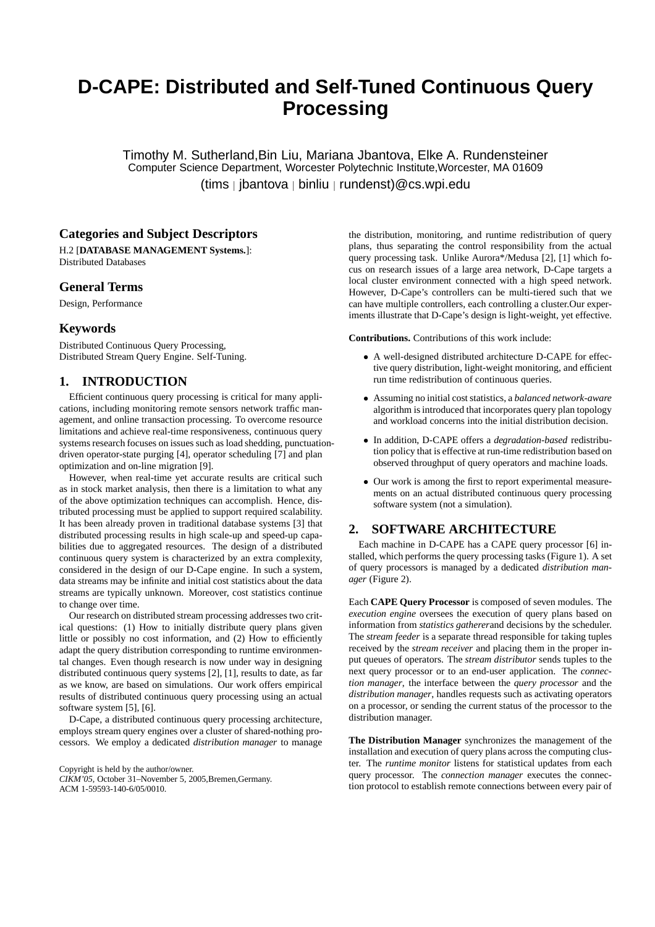# **D-CAPE: Distributed and Self-Tuned Continuous Query Processing**

Timothy M. Sutherland,Bin Liu, Mariana Jbantova, Elke A. Rundensteiner Computer Science Department, Worcester Polytechnic Institute,Worcester, MA 01609 (tims | jbantova | binliu | rundenst)@cs.wpi.edu

# **Categories and Subject Descriptors**

H.2 [**DATABASE MANAGEMENT Systems.**]: Distributed Databases

# **General Terms**

Design, Performance

# **Keywords**

Distributed Continuous Query Processing, Distributed Stream Query Engine. Self-Tuning.

# **1. INTRODUCTION**

Efficient continuous query processing is critical for many applications, including monitoring remote sensors network traffic management, and online transaction processing. To overcome resource limitations and achieve real-time responsiveness, continuous query systems research focuses on issues such as load shedding, punctuationdriven operator-state purging [4], operator scheduling [7] and plan optimization and on-line migration [9].

However, when real-time yet accurate results are critical such as in stock market analysis, then there is a limitation to what any of the above optimization techniques can accomplish. Hence, distributed processing must be applied to support required scalability. It has been already proven in traditional database systems [3] that distributed processing results in high scale-up and speed-up capabilities due to aggregated resources. The design of a distributed continuous query system is characterized by an extra complexity, considered in the design of our D-Cape engine. In such a system, data streams may be infinite and initial cost statistics about the data streams are typically unknown. Moreover, cost statistics continue to change over time.

Our research on distributed stream processing addresses two critical questions: (1) How to initially distribute query plans given little or possibly no cost information, and (2) How to efficiently adapt the query distribution corresponding to runtime environmental changes. Even though research is now under way in designing distributed continuous query systems [2], [1], results to date, as far as we know, are based on simulations. Our work offers empirical results of distributed continuous query processing using an actual software system [5], [6].

D-Cape, a distributed continuous query processing architecture, employs stream query engines over a cluster of shared-nothing processors. We employ a dedicated *distribution manager* to manage

Copyright is held by the author/owner. *CIKM'05,* October 31–November 5, 2005,Bremen,Germany. ACM 1-59593-140-6/05/0010.

the distribution, monitoring, and runtime redistribution of query plans, thus separating the control responsibility from the actual query processing task. Unlike Aurora\*/Medusa [2], [1] which focus on research issues of a large area network, D-Cape targets a local cluster environment connected with a high speed network. However, D-Cape's controllers can be multi-tiered such that we can have multiple controllers, each controlling a cluster.Our experiments illustrate that D-Cape's design is light-weight, yet effective.

**Contributions.** Contributions of this work include:

- A well-designed distributed architecture D-CAPE for effective query distribution, light-weight monitoring, and efficient run time redistribution of continuous queries.
- Assuming no initial cost statistics, a *balanced network-aware* algorithm is introduced that incorporates query plan topology and workload concerns into the initial distribution decision.
- In addition, D-CAPE offers a *degradation-based* redistribution policy that is effective at run-time redistribution based on observed throughput of query operators and machine loads.
- Our work is among the first to report experimental measurements on an actual distributed continuous query processing software system (not a simulation).

# **2. SOFTWARE ARCHITECTURE**

Each machine in D-CAPE has a CAPE query processor [6] installed, which performs the query processing tasks (Figure 1). A set of query processors is managed by a dedicated *distribution manager* (Figure 2).

Each **CAPE Query Processor** is composed of seven modules. The *execution engine* oversees the execution of query plans based on information from *statistics gatherer*and decisions by the scheduler. The *stream feeder* is a separate thread responsible for taking tuples received by the *stream receiver* and placing them in the proper input queues of operators. The *stream distributor* sends tuples to the next query processor or to an end-user application. The *connection manager*, the interface between the *query processor* and the *distribution manager*, handles requests such as activating operators on a processor, or sending the current status of the processor to the distribution manager.

**The Distribution Manager** synchronizes the management of the installation and execution of query plans across the computing cluster. The *runtime monitor* listens for statistical updates from each query processor. The *connection manager* executes the connection protocol to establish remote connections between every pair of